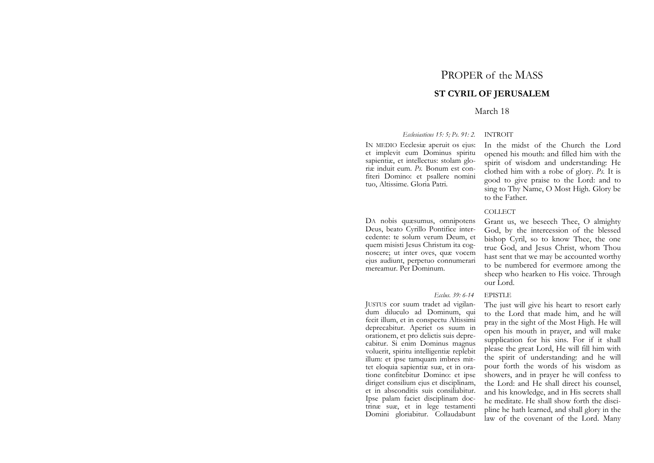# PROPER of the MASS

# **ST CYRIL OF JERUSALEM**

# March 18

*Ecclesiasticus 15: 5; Ps. 91: 2.* INTROIT

IN MEDIO Ecclesiæ aperuit os ejus: et implevit eum Dominus spiritu sapientiæ, et intellectus: stolam gloriæ induit eum. *Ps.* Bonum est confiteri Domino: et psallere nomini tuo, Altissime. Gloria Patri.

DA nobis quæsumus, omnipotens Deus, beato Cyrillo Pontifice intercedente: te solum verum Deum, et quem misisti Jesus Christum ita cognoscere; ut inter oves, quæ vocem ejus audiunt, perpetuo connumerari mereamur. Per Dominum.

### *Ecclus.* 39: 6-14

JUSTUS cor suum tradet ad vigilandum diluculo ad Dominum, qui fecit illum, et in conspectu Altissimi deprecabitur. Aperiet os suum in orationem, et pro delictis suis deprecabitur. Si enim Dominus magnus voluerit, spiritu intelligentiæ replebit illum: et ipse tamquam imbres mittet eloquia sapientiæ suæ, et in oratione confitebitur Domino: et ipse diriget consilium ejus et disciplinam, et in absconditis suis consiliabitur. Ipse palam faciet disciplinam doctrinæ suæ, et in lege testamenti Domini gloriabitur. Collaudabunt

In the midst of the Church the Lord opened his mouth: and filled him with the spirit of wisdom and understanding: He clothed him with a robe of glory. *Ps.* It is good to give praise to the Lord: and to sing to Thy Name, O Most High. Glory be to the Father.

### **COLLECT**

Grant us, we beseech Thee, O almighty God, by the intercession of the blessed bishop Cyril, so to know Thee, the one true God, and Jesus Christ, whom Thou hast sent that we may be accounted worthy to be numbered for evermore among the sheep who hearken to His voice. Through our Lord.

# **EPISTLE**

The just will give his heart to resort early to the Lord that made him, and he will pray in the sight of the Most High. He will open his mouth in prayer, and will make supplication for his sins. For if it shall please the great Lord, He will fill him with the spirit of understanding: and he will pour forth the words of his wisdom as showers, and in prayer he will confess to the Lord: and He shall direct his counsel, and his knowledge, and in His secrets shall he meditate. He shall show forth the discipline he hath learned, and shall glory in the law of the covenant of the Lord. Many